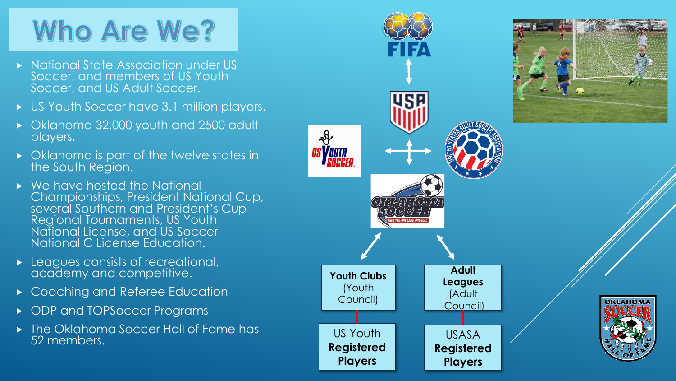# **Who Are We?**

- ▶ National State Association under US Soccer, and members of US Youth Soccer, and US Adult Soccer.
- US Youth Soccer have 3.1 million players.
- Oklahoma 32,000 youth and 2500 adult players.
- Oklahoma is part of the twelve states in the South Region.
- We have hosted the National Championships, President National Cup, several Southern and President's Cup Regional Tournaments, US Youth National License, and US Soccer National C License Education.
- **Leagues consists of recreational,** academy and competitive.
- ▶ Coaching and Referee Education
- ▶ ODP and TOPSoccer Programs
- ▶ The Oklahoma Soccer Hall of Fame has 52 members.

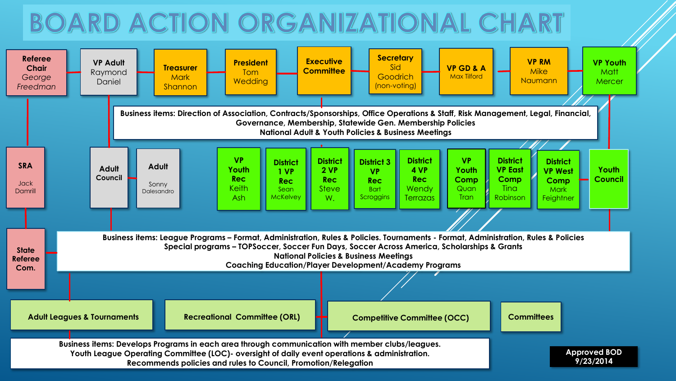## BOARD ACTION ORGANIZATIONAL CHART